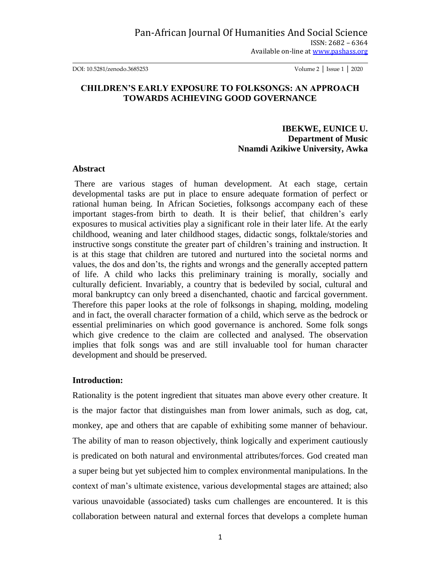DOI: 10.5281/zenodo.3685253 Volume 2 │ Issue 1 │ 2020

## **CHILDREN'S EARLY EXPOSURE TO FOLKSONGS: AN APPROACH TOWARDS ACHIEVING GOOD GOVERNANCE**

## **IBEKWE, EUNICE U. Department of Music Nnamdi Azikiwe University, Awka**

### **Abstract**

There are various stages of human development. At each stage, certain developmental tasks are put in place to ensure adequate formation of perfect or rational human being. In African Societies, folksongs accompany each of these important stages-from birth to death. It is their belief, that children"s early exposures to musical activities play a significant role in their later life. At the early childhood, weaning and later childhood stages, didactic songs, folktale/stories and instructive songs constitute the greater part of children"s training and instruction. It is at this stage that children are tutored and nurtured into the societal norms and values, the dos and don"ts, the rights and wrongs and the generally accepted pattern of life. A child who lacks this preliminary training is morally, socially and culturally deficient. Invariably, a country that is bedeviled by social, cultural and moral bankruptcy can only breed a disenchanted, chaotic and farcical government. Therefore this paper looks at the role of folksongs in shaping, molding, modeling and in fact, the overall character formation of a child, which serve as the bedrock or essential preliminaries on which good governance is anchored. Some folk songs which give credence to the claim are collected and analysed. The observation implies that folk songs was and are still invaluable tool for human character development and should be preserved.

#### **Introduction:**

Rationality is the potent ingredient that situates man above every other creature. It is the major factor that distinguishes man from lower animals, such as dog, cat, monkey, ape and others that are capable of exhibiting some manner of behaviour. The ability of man to reason objectively, think logically and experiment cautiously is predicated on both natural and environmental attributes/forces. God created man a super being but yet subjected him to complex environmental manipulations. In the context of man"s ultimate existence, various developmental stages are attained; also various unavoidable (associated) tasks cum challenges are encountered. It is this collaboration between natural and external forces that develops a complete human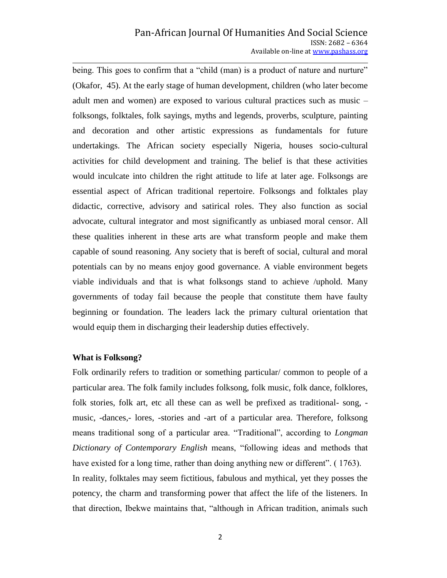being. This goes to confirm that a "child (man) is a product of nature and nurture" (Okafor, 45). At the early stage of human development, children (who later become adult men and women) are exposed to various cultural practices such as music – folksongs, folktales, folk sayings, myths and legends, proverbs, sculpture, painting and decoration and other artistic expressions as fundamentals for future undertakings. The African society especially Nigeria, houses socio-cultural activities for child development and training. The belief is that these activities would inculcate into children the right attitude to life at later age. Folksongs are essential aspect of African traditional repertoire. Folksongs and folktales play didactic, corrective, advisory and satirical roles. They also function as social advocate, cultural integrator and most significantly as unbiased moral censor. All these qualities inherent in these arts are what transform people and make them capable of sound reasoning. Any society that is bereft of social, cultural and moral potentials can by no means enjoy good governance. A viable environment begets viable individuals and that is what folksongs stand to achieve /uphold. Many governments of today fail because the people that constitute them have faulty beginning or foundation. The leaders lack the primary cultural orientation that would equip them in discharging their leadership duties effectively.

## **What is Folksong?**

Folk ordinarily refers to tradition or something particular/ common to people of a particular area. The folk family includes folksong, folk music, folk dance, folklores, folk stories, folk art, etc all these can as well be prefixed as traditional- song, music, -dances,- lores, -stories and -art of a particular area. Therefore, folksong means traditional song of a particular area. "Traditional", according to *Longman Dictionary of Contemporary English* means, "following ideas and methods that have existed for a long time, rather than doing anything new or different". ( 1763). In reality, folktales may seem fictitious, fabulous and mythical, yet they posses the potency, the charm and transforming power that affect the life of the listeners. In that direction, Ibekwe maintains that, "although in African tradition, animals such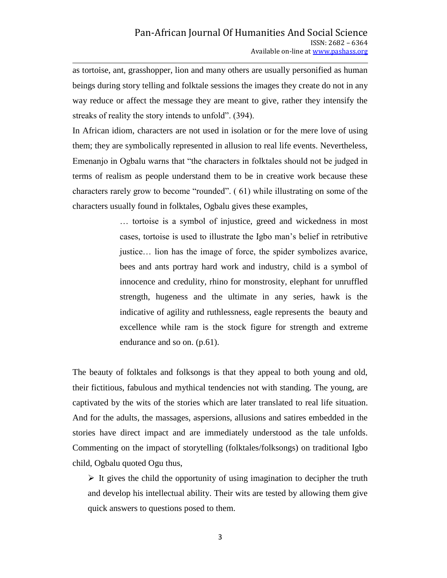as tortoise, ant, grasshopper, lion and many others are usually personified as human beings during story telling and folktale sessions the images they create do not in any way reduce or affect the message they are meant to give, rather they intensify the streaks of reality the story intends to unfold". (394).

In African idiom, characters are not used in isolation or for the mere love of using them; they are symbolically represented in allusion to real life events. Nevertheless, Emenanjo in Ogbalu warns that "the characters in folktales should not be judged in terms of realism as people understand them to be in creative work because these characters rarely grow to become "rounded". ( 61) while illustrating on some of the characters usually found in folktales, Ogbalu gives these examples,

> … tortoise is a symbol of injustice, greed and wickedness in most cases, tortoise is used to illustrate the Igbo man"s belief in retributive justice… lion has the image of force, the spider symbolizes avarice, bees and ants portray hard work and industry, child is a symbol of innocence and credulity, rhino for monstrosity, elephant for unruffled strength, hugeness and the ultimate in any series, hawk is the indicative of agility and ruthlessness, eagle represents the beauty and excellence while ram is the stock figure for strength and extreme endurance and so on. (p.61).

The beauty of folktales and folksongs is that they appeal to both young and old, their fictitious, fabulous and mythical tendencies not with standing. The young, are captivated by the wits of the stories which are later translated to real life situation. And for the adults, the massages, aspersions, allusions and satires embedded in the stories have direct impact and are immediately understood as the tale unfolds. Commenting on the impact of storytelling (folktales/folksongs) on traditional Igbo child, Ogbalu quoted Ogu thus,

 $\triangleright$  It gives the child the opportunity of using imagination to decipher the truth and develop his intellectual ability. Their wits are tested by allowing them give quick answers to questions posed to them.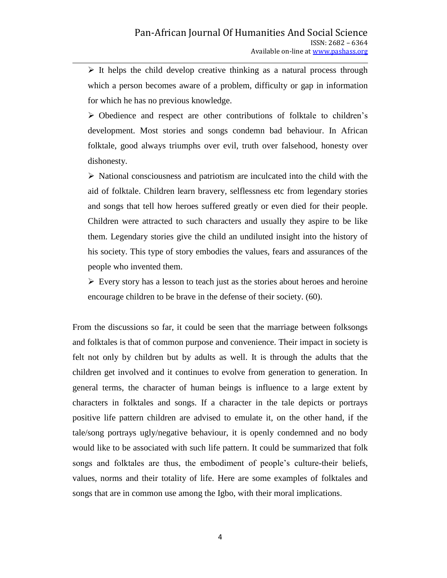$\triangleright$  It helps the child develop creative thinking as a natural process through which a person becomes aware of a problem, difficulty or gap in information for which he has no previous knowledge.

 $\triangleright$  Obedience and respect are other contributions of folktale to children's development. Most stories and songs condemn bad behaviour. In African folktale, good always triumphs over evil, truth over falsehood, honesty over dishonesty.

 $\triangleright$  National consciousness and patriotism are inculcated into the child with the aid of folktale. Children learn bravery, selflessness etc from legendary stories and songs that tell how heroes suffered greatly or even died for their people. Children were attracted to such characters and usually they aspire to be like them. Legendary stories give the child an undiluted insight into the history of his society. This type of story embodies the values, fears and assurances of the people who invented them.

 $\triangleright$  Every story has a lesson to teach just as the stories about heroes and heroine encourage children to be brave in the defense of their society. (60).

From the discussions so far, it could be seen that the marriage between folksongs and folktales is that of common purpose and convenience. Their impact in society is felt not only by children but by adults as well. It is through the adults that the children get involved and it continues to evolve from generation to generation. In general terms, the character of human beings is influence to a large extent by characters in folktales and songs. If a character in the tale depicts or portrays positive life pattern children are advised to emulate it, on the other hand, if the tale/song portrays ugly/negative behaviour, it is openly condemned and no body would like to be associated with such life pattern. It could be summarized that folk songs and folktales are thus, the embodiment of people's culture-their beliefs, values, norms and their totality of life. Here are some examples of folktales and songs that are in common use among the Igbo, with their moral implications.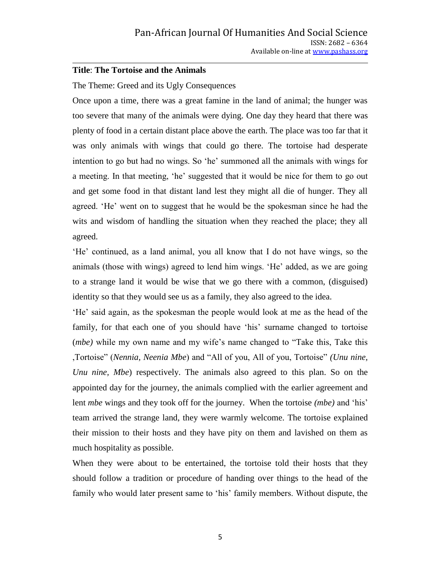### **Title**: **The Tortoise and the Animals**

The Theme: Greed and its Ugly Consequences

Once upon a time, there was a great famine in the land of animal; the hunger was too severe that many of the animals were dying. One day they heard that there was plenty of food in a certain distant place above the earth. The place was too far that it was only animals with wings that could go there. The tortoise had desperate intention to go but had no wings. So "he" summoned all the animals with wings for a meeting. In that meeting, "he" suggested that it would be nice for them to go out and get some food in that distant land lest they might all die of hunger. They all agreed. "He" went on to suggest that he would be the spokesman since he had the wits and wisdom of handling the situation when they reached the place; they all agreed.

"He" continued, as a land animal, you all know that I do not have wings, so the animals (those with wings) agreed to lend him wings. "He" added, as we are going to a strange land it would be wise that we go there with a common, (disguised) identity so that they would see us as a family, they also agreed to the idea.

"He" said again, as the spokesman the people would look at me as the head of the family, for that each one of you should have 'his' surname changed to tortoise (*mbe*) while my own name and my wife's name changed to "Take this, Take this ,Tortoise" (*Nennia, Neenia Mbe*) and "All of you, All of you, Tortoise" *(Unu nine, Unu nine, Mbe*) respectively. The animals also agreed to this plan. So on the appointed day for the journey, the animals complied with the earlier agreement and lent *mbe* wings and they took off for the journey. When the tortoise *(mbe)* and "his" team arrived the strange land, they were warmly welcome. The tortoise explained their mission to their hosts and they have pity on them and lavished on them as much hospitality as possible.

When they were about to be entertained, the tortoise told their hosts that they should follow a tradition or procedure of handing over things to the head of the family who would later present same to 'his' family members. Without dispute, the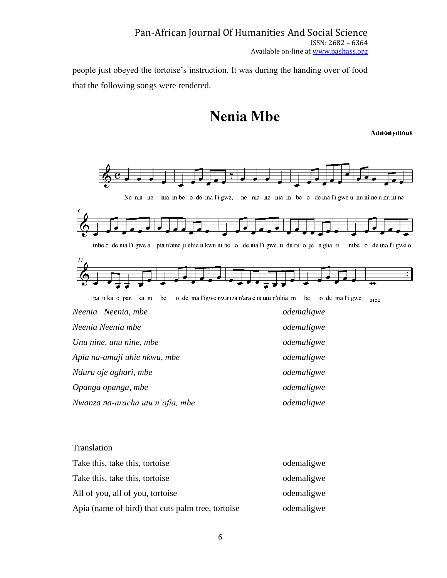people just obeyed the tortoise"s instruction. It was during the handing over of food that the following songs were rendered.

# **Nenia Mbe**

Annonymous



Translation

| Take this, take this, tortoise                    | odemaligwe |
|---------------------------------------------------|------------|
| Take this, take this, tortoise                    | odemaligwe |
| All of you, all of you, tortoise                  | odemaligwe |
| Apia (name of bird) that cuts palm tree, tortoise | odemaligwe |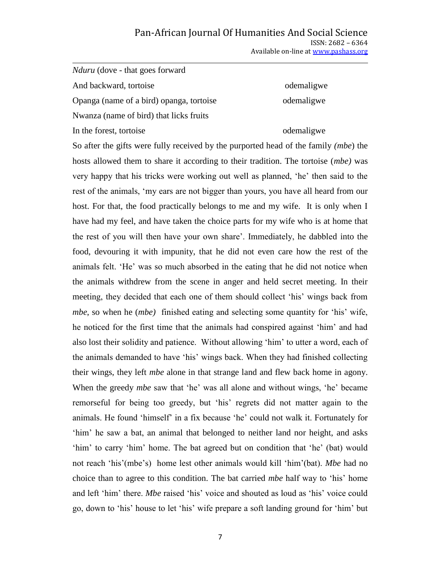### Pan-African Journal Of Humanities And Social Science ISSN: 2682 – 6364 Available on-line at www.pashass.org

*Nduru* (dove - that goes forward And backward, tortoise odemaligwe Opanga (name of a bird) opanga, tortoise odemaligwe Nwanza (name of bird) that licks fruits

### In the forest, tortoise odemaligwe

So after the gifts were fully received by the purported head of the family *(mbe*) the hosts allowed them to share it according to their tradition. The tortoise (*mbe)* was very happy that his tricks were working out well as planned, "he" then said to the rest of the animals, "my ears are not bigger than yours, you have all heard from our host. For that, the food practically belongs to me and my wife. It is only when I have had my feel, and have taken the choice parts for my wife who is at home that the rest of you will then have your own share". Immediately, he dabbled into the food, devouring it with impunity, that he did not even care how the rest of the animals felt. "He" was so much absorbed in the eating that he did not notice when the animals withdrew from the scene in anger and held secret meeting. In their meeting, they decided that each one of them should collect "his" wings back from *mbe*, so when he *(mbe)* finished eating and selecting some quantity for 'his' wife, he noticed for the first time that the animals had conspired against "him" and had also lost their solidity and patience. Without allowing "him" to utter a word, each of the animals demanded to have "his" wings back. When they had finished collecting their wings, they left *mbe* alone in that strange land and flew back home in agony. When the greedy *mbe* saw that 'he' was all alone and without wings, 'he' became remorseful for being too greedy, but "his" regrets did not matter again to the animals. He found "himself" in a fix because "he" could not walk it. Fortunately for 'him' he saw a bat, an animal that belonged to neither land nor height, and asks "him" to carry "him" home. The bat agreed but on condition that "he" (bat) would not reach 'his'(mbe's) home lest other animals would kill 'him'(bat). *Mbe* had no choice than to agree to this condition. The bat carried *mbe* half way to "his" home and left "him" there. *Mbe* raised "his" voice and shouted as loud as "his" voice could go, down to "his" house to let "his" wife prepare a soft landing ground for "him" but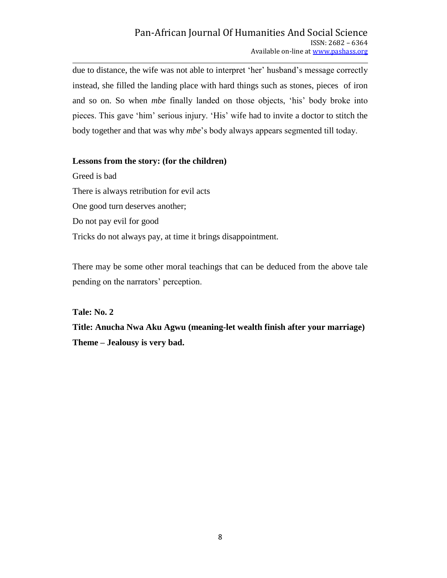due to distance, the wife was not able to interpret 'her' husband's message correctly instead, she filled the landing place with hard things such as stones, pieces of iron and so on. So when *mbe* finally landed on those objects, "his" body broke into pieces. This gave "him" serious injury. "His" wife had to invite a doctor to stitch the body together and that was why *mbe*"s body always appears segmented till today.

## **Lessons from the story: (for the children)**

Greed is bad There is always retribution for evil acts One good turn deserves another; Do not pay evil for good Tricks do not always pay, at time it brings disappointment.

There may be some other moral teachings that can be deduced from the above tale pending on the narrators" perception.

## **Tale: No. 2**

**Title: Anucha Nwa Aku Agwu (meaning-let wealth finish after your marriage) Theme – Jealousy is very bad.**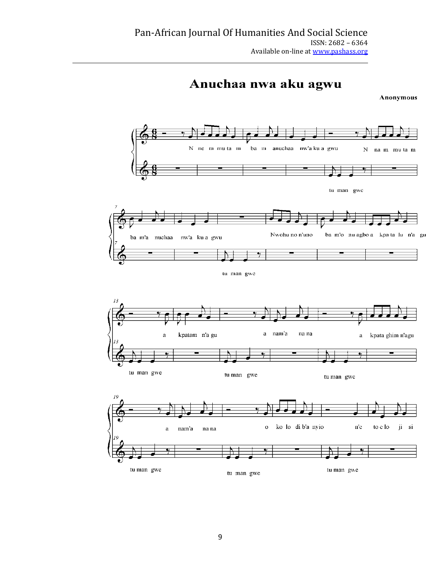

## Anuchaa nwa aku agwu

Anonymous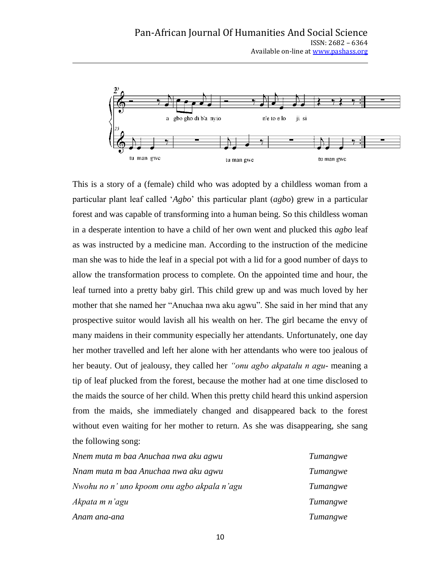

This is a story of a (female) child who was adopted by a childless woman from a particular plant leaf called "*Agbo*" this particular plant (*agbo*) grew in a particular forest and was capable of transforming into a human being. So this childless woman in a desperate intention to have a child of her own went and plucked this *agbo* leaf as was instructed by a medicine man. According to the instruction of the medicine man she was to hide the leaf in a special pot with a lid for a good number of days to allow the transformation process to complete. On the appointed time and hour, the leaf turned into a pretty baby girl. This child grew up and was much loved by her mother that she named her "Anuchaa nwa aku agwu". She said in her mind that any prospective suitor would lavish all his wealth on her. The girl became the envy of many maidens in their community especially her attendants. Unfortunately, one day her mother travelled and left her alone with her attendants who were too jealous of her beauty. Out of jealousy, they called her *"onu agbo akpatalu n agu*- meaning a tip of leaf plucked from the forest, because the mother had at one time disclosed to the maids the source of her child. When this pretty child heard this unkind aspersion from the maids, she immediately changed and disappeared back to the forest without even waiting for her mother to return. As she was disappearing, she sang the following song:

| Nnem muta m baa Anuchaa nwa aku agwu        | Tumangwe |
|---------------------------------------------|----------|
| Nnam muta m baa Anuchaa nwa aku agwu        | Tumangwe |
| Nwohu no n' uno kpoom onu agbo akpala n'agu | Tumangwe |
| Akpata m n'agu                              | Tumangwe |
| Anam ana-ana                                | Tumangwe |

10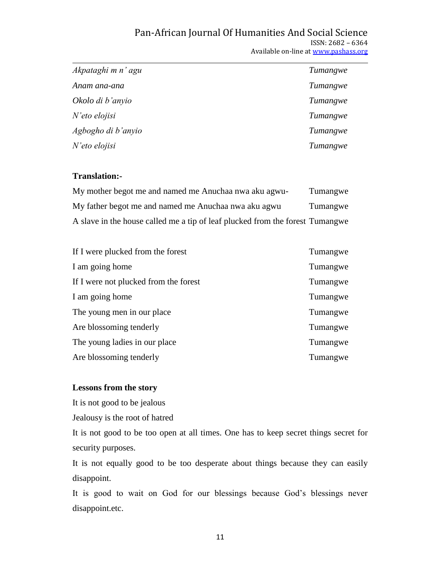## Pan-African Journal Of Humanities And Social Science ISSN: 2682 – 6364 Available on-line at www.pashass.org

| Akpataghi m n'agu  | Tumangwe |
|--------------------|----------|
| Anam ana-ana       | Tumangwe |
| Okolo di b'anyio   | Tumangwe |
| $N'$ eto elojisi   | Tumangwe |
| Agbogho di b'anyio | Tumangwe |
| $N'$ eto elojisi   | Tumangwe |

## **Translation:-**

| My mother begot me and named me Anuchaa nwa aku agwu-                         | Tumangwe |
|-------------------------------------------------------------------------------|----------|
| My father begot me and named me Anuchaa nwa aku agwu                          | Tumangwe |
| A slave in the house called me a tip of leaf plucked from the forest Tumangwe |          |

| If I were plucked from the forest     | Tumangwe |
|---------------------------------------|----------|
| I am going home                       | Tumangwe |
| If I were not plucked from the forest | Tumangwe |
| I am going home                       | Tumangwe |
| The young men in our place            | Tumangwe |
| Are blossoming tenderly               | Tumangwe |
| The young ladies in our place         | Tumangwe |
| Are blossoming tenderly               | Tumangwe |

## **Lessons from the story**

It is not good to be jealous

Jealousy is the root of hatred

It is not good to be too open at all times. One has to keep secret things secret for security purposes.

It is not equally good to be too desperate about things because they can easily disappoint.

It is good to wait on God for our blessings because God"s blessings never disappoint.etc.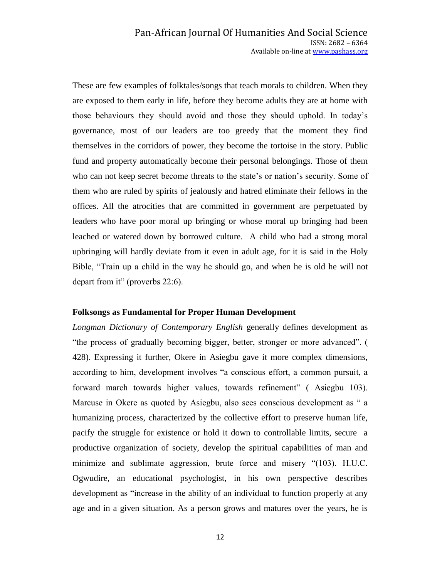These are few examples of folktales/songs that teach morals to children. When they are exposed to them early in life, before they become adults they are at home with those behaviours they should avoid and those they should uphold. In today"s governance, most of our leaders are too greedy that the moment they find themselves in the corridors of power, they become the tortoise in the story. Public fund and property automatically become their personal belongings. Those of them who can not keep secret become threats to the state's or nation's security. Some of them who are ruled by spirits of jealously and hatred eliminate their fellows in the offices. All the atrocities that are committed in government are perpetuated by leaders who have poor moral up bringing or whose moral up bringing had been leached or watered down by borrowed culture. A child who had a strong moral upbringing will hardly deviate from it even in adult age, for it is said in the Holy Bible, "Train up a child in the way he should go, and when he is old he will not depart from it" (proverbs 22:6).

### **Folksongs as Fundamental for Proper Human Development**

*Longman Dictionary of Contemporary English* generally defines development as "the process of gradually becoming bigger, better, stronger or more advanced". ( 428). Expressing it further, Okere in Asiegbu gave it more complex dimensions, according to him, development involves "a conscious effort, a common pursuit, a forward march towards higher values, towards refinement" ( Asiegbu 103). Marcuse in Okere as quoted by Asiegbu, also sees conscious development as " a humanizing process, characterized by the collective effort to preserve human life, pacify the struggle for existence or hold it down to controllable limits, secure a productive organization of society, develop the spiritual capabilities of man and minimize and sublimate aggression, brute force and misery "(103). H.U.C. Ogwudire, an educational psychologist, in his own perspective describes development as "increase in the ability of an individual to function properly at any age and in a given situation. As a person grows and matures over the years, he is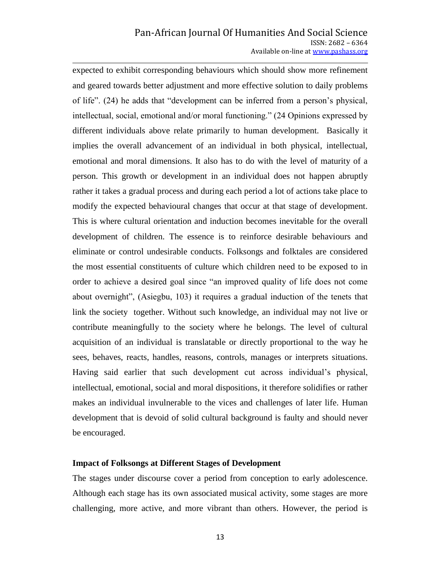expected to exhibit corresponding behaviours which should show more refinement and geared towards better adjustment and more effective solution to daily problems of life". (24) he adds that "development can be inferred from a person"s physical, intellectual, social, emotional and/or moral functioning." (24 Opinions expressed by different individuals above relate primarily to human development. Basically it implies the overall advancement of an individual in both physical, intellectual, emotional and moral dimensions. It also has to do with the level of maturity of a person. This growth or development in an individual does not happen abruptly rather it takes a gradual process and during each period a lot of actions take place to modify the expected behavioural changes that occur at that stage of development. This is where cultural orientation and induction becomes inevitable for the overall development of children. The essence is to reinforce desirable behaviours and eliminate or control undesirable conducts. Folksongs and folktales are considered the most essential constituents of culture which children need to be exposed to in order to achieve a desired goal since "an improved quality of life does not come about overnight", (Asiegbu, 103) it requires a gradual induction of the tenets that link the society together. Without such knowledge, an individual may not live or contribute meaningfully to the society where he belongs. The level of cultural acquisition of an individual is translatable or directly proportional to the way he sees, behaves, reacts, handles, reasons, controls, manages or interprets situations. Having said earlier that such development cut across individual"s physical, intellectual, emotional, social and moral dispositions, it therefore solidifies or rather makes an individual invulnerable to the vices and challenges of later life. Human development that is devoid of solid cultural background is faulty and should never be encouraged.

### **Impact of Folksongs at Different Stages of Development**

The stages under discourse cover a period from conception to early adolescence. Although each stage has its own associated musical activity, some stages are more challenging, more active, and more vibrant than others. However, the period is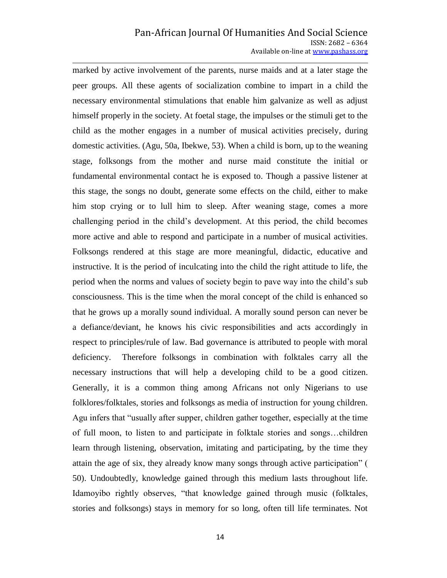### Pan-African Journal Of Humanities And Social Science ISSN: 2682 – 6364 Available on-line at www.pashass.org

marked by active involvement of the parents, nurse maids and at a later stage the peer groups. All these agents of socialization combine to impart in a child the necessary environmental stimulations that enable him galvanize as well as adjust himself properly in the society. At foetal stage, the impulses or the stimuli get to the child as the mother engages in a number of musical activities precisely, during domestic activities. (Agu, 50a, Ibekwe, 53). When a child is born, up to the weaning stage, folksongs from the mother and nurse maid constitute the initial or fundamental environmental contact he is exposed to. Though a passive listener at this stage, the songs no doubt, generate some effects on the child, either to make him stop crying or to lull him to sleep. After weaning stage, comes a more challenging period in the child"s development. At this period, the child becomes more active and able to respond and participate in a number of musical activities. Folksongs rendered at this stage are more meaningful, didactic, educative and instructive. It is the period of inculcating into the child the right attitude to life, the period when the norms and values of society begin to pave way into the child"s sub consciousness. This is the time when the moral concept of the child is enhanced so that he grows up a morally sound individual. A morally sound person can never be a defiance/deviant, he knows his civic responsibilities and acts accordingly in respect to principles/rule of law. Bad governance is attributed to people with moral deficiency. Therefore folksongs in combination with folktales carry all the necessary instructions that will help a developing child to be a good citizen. Generally, it is a common thing among Africans not only Nigerians to use folklores/folktales, stories and folksongs as media of instruction for young children. Agu infers that "usually after supper, children gather together, especially at the time of full moon, to listen to and participate in folktale stories and songs…children learn through listening, observation, imitating and participating, by the time they attain the age of six, they already know many songs through active participation" ( 50). Undoubtedly, knowledge gained through this medium lasts throughout life. Idamoyibo rightly observes, "that knowledge gained through music (folktales, stories and folksongs) stays in memory for so long, often till life terminates. Not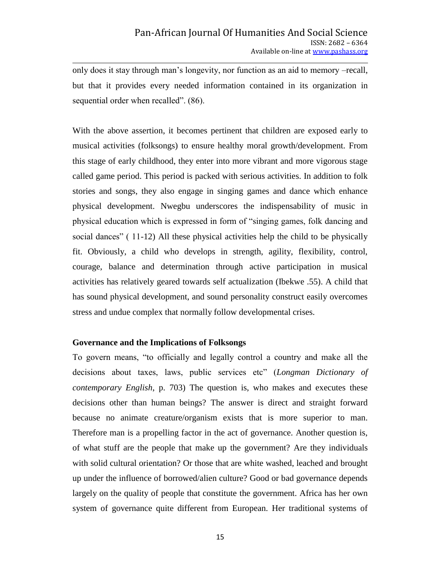only does it stay through man"s longevity, nor function as an aid to memory –recall, but that it provides every needed information contained in its organization in sequential order when recalled". (86).

With the above assertion, it becomes pertinent that children are exposed early to musical activities (folksongs) to ensure healthy moral growth/development. From this stage of early childhood, they enter into more vibrant and more vigorous stage called game period. This period is packed with serious activities. In addition to folk stories and songs, they also engage in singing games and dance which enhance physical development. Nwegbu underscores the indispensability of music in physical education which is expressed in form of "singing games, folk dancing and social dances" ( 11-12) All these physical activities help the child to be physically fit. Obviously, a child who develops in strength, agility, flexibility, control, courage, balance and determination through active participation in musical activities has relatively geared towards self actualization (Ibekwe .55). A child that has sound physical development, and sound personality construct easily overcomes stress and undue complex that normally follow developmental crises.

### **Governance and the Implications of Folksongs**

To govern means, "to officially and legally control a country and make all the decisions about taxes, laws, public services etc" (*Longman Dictionary of contemporary English*, p. 703) The question is, who makes and executes these decisions other than human beings? The answer is direct and straight forward because no animate creature/organism exists that is more superior to man. Therefore man is a propelling factor in the act of governance. Another question is, of what stuff are the people that make up the government? Are they individuals with solid cultural orientation? Or those that are white washed, leached and brought up under the influence of borrowed/alien culture? Good or bad governance depends largely on the quality of people that constitute the government. Africa has her own system of governance quite different from European. Her traditional systems of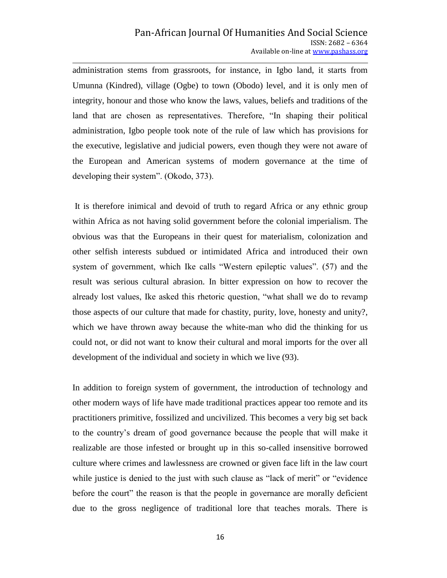administration stems from grassroots, for instance, in Igbo land, it starts from Umunna (Kindred), village (Ogbe) to town (Obodo) level, and it is only men of integrity, honour and those who know the laws, values, beliefs and traditions of the land that are chosen as representatives. Therefore, "In shaping their political administration, Igbo people took note of the rule of law which has provisions for the executive, legislative and judicial powers, even though they were not aware of the European and American systems of modern governance at the time of developing their system". (Okodo, 373).

It is therefore inimical and devoid of truth to regard Africa or any ethnic group within Africa as not having solid government before the colonial imperialism. The obvious was that the Europeans in their quest for materialism, colonization and other selfish interests subdued or intimidated Africa and introduced their own system of government, which Ike calls "Western epileptic values". (57) and the result was serious cultural abrasion. In bitter expression on how to recover the already lost values, Ike asked this rhetoric question, "what shall we do to revamp those aspects of our culture that made for chastity, purity, love, honesty and unity?, which we have thrown away because the white-man who did the thinking for us could not, or did not want to know their cultural and moral imports for the over all development of the individual and society in which we live (93).

In addition to foreign system of government, the introduction of technology and other modern ways of life have made traditional practices appear too remote and its practitioners primitive, fossilized and uncivilized. This becomes a very big set back to the country"s dream of good governance because the people that will make it realizable are those infested or brought up in this so-called insensitive borrowed culture where crimes and lawlessness are crowned or given face lift in the law court while justice is denied to the just with such clause as "lack of merit" or "evidence" before the court" the reason is that the people in governance are morally deficient due to the gross negligence of traditional lore that teaches morals. There is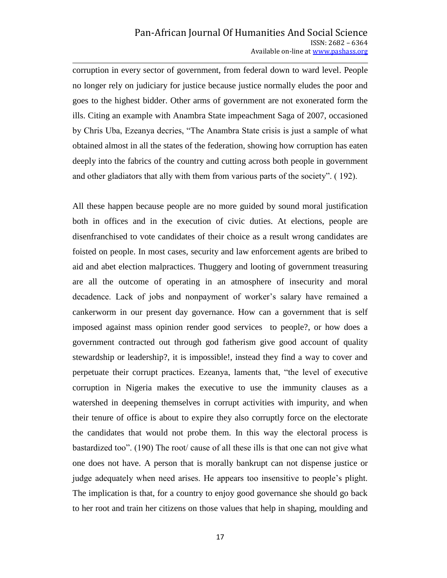corruption in every sector of government, from federal down to ward level. People no longer rely on judiciary for justice because justice normally eludes the poor and goes to the highest bidder. Other arms of government are not exonerated form the ills. Citing an example with Anambra State impeachment Saga of 2007, occasioned by Chris Uba, Ezeanya decries, "The Anambra State crisis is just a sample of what obtained almost in all the states of the federation, showing how corruption has eaten deeply into the fabrics of the country and cutting across both people in government and other gladiators that ally with them from various parts of the society". ( 192).

All these happen because people are no more guided by sound moral justification both in offices and in the execution of civic duties. At elections, people are disenfranchised to vote candidates of their choice as a result wrong candidates are foisted on people. In most cases, security and law enforcement agents are bribed to aid and abet election malpractices. Thuggery and looting of government treasuring are all the outcome of operating in an atmosphere of insecurity and moral decadence. Lack of jobs and nonpayment of worker's salary have remained a cankerworm in our present day governance. How can a government that is self imposed against mass opinion render good services to people?, or how does a government contracted out through god fatherism give good account of quality stewardship or leadership?, it is impossible!, instead they find a way to cover and perpetuate their corrupt practices. Ezeanya, laments that, "the level of executive corruption in Nigeria makes the executive to use the immunity clauses as a watershed in deepening themselves in corrupt activities with impurity, and when their tenure of office is about to expire they also corruptly force on the electorate the candidates that would not probe them. In this way the electoral process is bastardized too". (190) The root/ cause of all these ills is that one can not give what one does not have. A person that is morally bankrupt can not dispense justice or judge adequately when need arises. He appears too insensitive to people"s plight. The implication is that, for a country to enjoy good governance she should go back to her root and train her citizens on those values that help in shaping, moulding and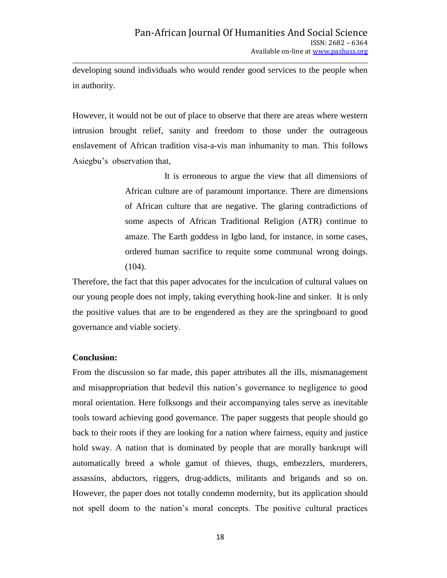developing sound individuals who would render good services to the people when in authority.

However, it would not be out of place to observe that there are areas where western intrusion brought relief, sanity and freedom to those under the outrageous enslavement of African tradition visa-a-vis man inhumanity to man. This follows Asiegbu"s observation that,

> It is erroneous to argue the view that all dimensions of African culture are of paramount importance. There are dimensions of African culture that are negative. The glaring contradictions of some aspects of African Traditional Religion (ATR) continue to amaze. The Earth goddess in Igbo land, for instance, in some cases, ordered human sacrifice to requite some communal wrong doings.  $(104)$ .

Therefore, the fact that this paper advocates for the inculcation of cultural values on our young people does not imply, taking everything hook-line and sinker. It is only the positive values that are to be engendered as they are the springboard to good governance and viable society.

## **Conclusion:**

From the discussion so far made, this paper attributes all the ills, mismanagement and misappropriation that bedevil this nation"s governance to negligence to good moral orientation. Here folksongs and their accompanying tales serve as inevitable tools toward achieving good governance. The paper suggests that people should go back to their roots if they are looking for a nation where fairness, equity and justice hold sway. A nation that is dominated by people that are morally bankrupt will automatically breed a whole gamut of thieves, thugs, embezzlers, murderers, assassins, abductors, riggers, drug-addicts, militants and brigands and so on. However, the paper does not totally condemn modernity, but its application should not spell doom to the nation"s moral concepts. The positive cultural practices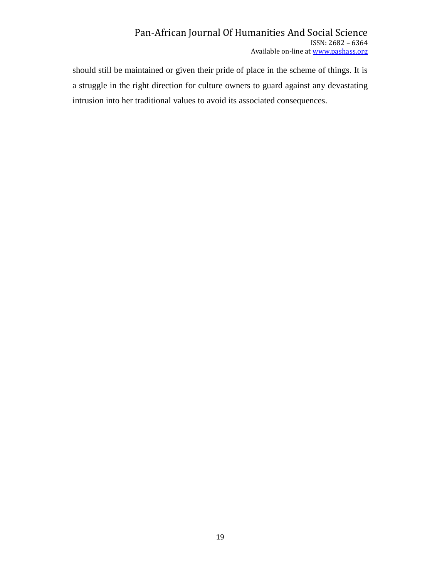should still be maintained or given their pride of place in the scheme of things. It is a struggle in the right direction for culture owners to guard against any devastating intrusion into her traditional values to avoid its associated consequences.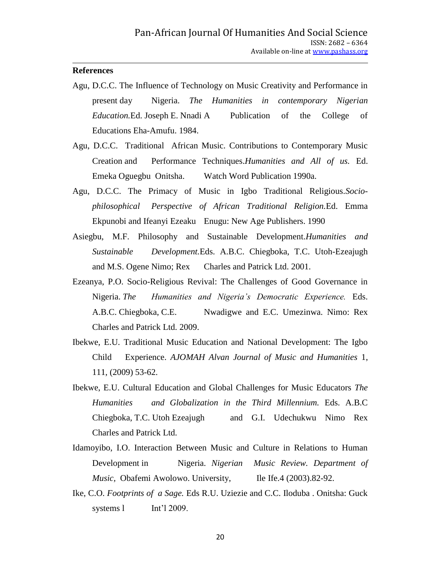### **References**

- Agu, D.C.C. The Influence of Technology on Music Creativity and Performance in present day Nigeria. *The Humanities in contemporary Nigerian Education.*Ed. Joseph E. Nnadi A Publication of the College of Educations Eha-Amufu. 1984.
- Agu, D.C.C. Traditional African Music. Contributions to Contemporary Music Creation and Performance Techniques.*Humanities and All of us.* Ed. Emeka Oguegbu Onitsha. Watch Word Publication 1990a.
- Agu, D.C.C. The Primacy of Music in Igbo Traditional Religious.*Sociophilosophical Perspective of African Traditional Religion.*Ed. Emma Ekpunobi and Ifeanyi Ezeaku Enugu: New Age Publishers. 1990
- Asiegbu, M.F. Philosophy and Sustainable Development.*Humanities and Sustainable Development.*Eds. A.B.C. Chiegboka, T.C. Utoh-Ezeajugh and M.S. Ogene Nimo; Rex Charles and Patrick Ltd. 2001.
- Ezeanya, P.O. Socio-Religious Revival: The Challenges of Good Governance in Nigeria. *The Humanities and Nigeria's Democratic Experience.* Eds. A.B.C. Chiegboka, C.E. Nwadigwe and E.C. Umezinwa. Nimo: Rex Charles and Patrick Ltd. 2009.
- Ibekwe, E.U. Traditional Music Education and National Development: The Igbo Child Experience. *AJOMAH Alvan Journal of Music and Humanities* 1, 111, (2009) 53-62.
- Ibekwe, E.U. Cultural Education and Global Challenges for Music Educators *The Humanities and Globalization in the Third Millennium.* Eds. A.B.C Chiegboka, T.C. Utoh Ezeajugh and G.I. Udechukwu Nimo Rex Charles and Patrick Ltd.
- Idamoyibo, I.O. Interaction Between Music and Culture in Relations to Human Development in Nigeria. *Nigerian Music Review. Department of Music*, Obafemi Awolowo. University, Ile Ife.4 (2003).82-92.
- Ike, C.O. *Footprints of a Sage.* Eds R.U. Uziezie and C.C. Iloduba . Onitsha: Guck systems  $l$  Int'l 2009.